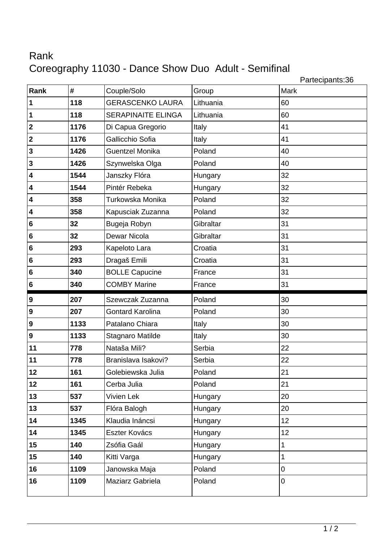## Rank Coreography 11030 - Dance Show Duo Adult - Semifinal

Partecipants:36

|                         |      |                           |              | $-$ 0.000 $-$ 0.000 $-$ 0.000 $-$ 0.000 $-$ 0.000 $-$ 0.000 $-$ 0.000 $-$ 0.000 $-$ 0.000 $-$ 0.000 $-$ 0.000 $-$ 0.000 $-$ 0.000 $-$ 0.000 $-$ 0.000 $-$ 0.000 $-$ 0.000 $-$ 0.000 $-$ 0.000 $-$ 0.000 $-$ 0.000 $-$ 0.000 |
|-------------------------|------|---------------------------|--------------|-----------------------------------------------------------------------------------------------------------------------------------------------------------------------------------------------------------------------------|
| Rank                    | #    | Couple/Solo               | Group        | Mark                                                                                                                                                                                                                        |
| $\mathbf{1}$            | 118  | <b>GERASCENKO LAURA</b>   | Lithuania    | 60                                                                                                                                                                                                                          |
| $\mathbf 1$             | 118  | <b>SERAPINAITE ELINGA</b> | Lithuania    | 60                                                                                                                                                                                                                          |
| $\overline{\mathbf{2}}$ | 1176 | Di Capua Gregorio         | Italy        | 41                                                                                                                                                                                                                          |
| $\overline{\mathbf{2}}$ | 1176 | Gallicchio Sofia          | Italy        | 41                                                                                                                                                                                                                          |
| 3                       | 1426 | <b>Guentzel Monika</b>    | Poland       | 40                                                                                                                                                                                                                          |
| $\mathbf 3$             | 1426 | Szynwelska Olga           | Poland       | 40                                                                                                                                                                                                                          |
| $\overline{\mathbf{4}}$ | 1544 | Janszky Flóra             | Hungary      | 32                                                                                                                                                                                                                          |
| $\overline{\mathbf{4}}$ | 1544 | Pintér Rebeka             | Hungary      | 32                                                                                                                                                                                                                          |
| $\overline{\mathbf{4}}$ | 358  | Turkowska Monika          | Poland       | 32                                                                                                                                                                                                                          |
| $\overline{\mathbf{4}}$ | 358  | Kapusciak Zuzanna         | Poland       | 32                                                                                                                                                                                                                          |
| $6\phantom{1}6$         | 32   | Bugeja Robyn              | Gibraltar    | 31                                                                                                                                                                                                                          |
| $\bf 6$                 | 32   | Dewar Nicola              | Gibraltar    | 31                                                                                                                                                                                                                          |
| $6\phantom{1}6$         | 293  | Kapeloto Lara             | Croatia      | 31                                                                                                                                                                                                                          |
| $\bf 6$                 | 293  | Dragaš Emili              | Croatia      | 31                                                                                                                                                                                                                          |
| $\bf 6$                 | 340  | <b>BOLLE Capucine</b>     | France       | 31                                                                                                                                                                                                                          |
| $\bf 6$                 | 340  | <b>COMBY Marine</b>       | France       | 31                                                                                                                                                                                                                          |
|                         |      |                           |              |                                                                                                                                                                                                                             |
| 9                       | 207  | Szewczak Zuzanna          | Poland       | 30                                                                                                                                                                                                                          |
| 9                       | 207  | <b>Gontard Karolina</b>   | Poland       | 30                                                                                                                                                                                                                          |
| $\boldsymbol{9}$        | 1133 | Patalano Chiara           | Italy        | 30                                                                                                                                                                                                                          |
| $\boldsymbol{9}$        | 1133 | Stagnaro Matilde          | <b>Italy</b> | 30                                                                                                                                                                                                                          |
| 11                      | 778  | Nataša Mili?              | Serbia       | 22                                                                                                                                                                                                                          |
| 11                      | 778  | Branislava Isakovi?       | Serbia       | 22                                                                                                                                                                                                                          |
| 12                      | 161  | Golebiewska Julia         | Poland       | 21                                                                                                                                                                                                                          |
| 12                      | 161  | Cerba Julia               | Poland       | 21                                                                                                                                                                                                                          |
| 13                      | 537  | <b>Vivien Lek</b>         | Hungary      | 20                                                                                                                                                                                                                          |
| 13                      | 537  | Flóra Balogh              | Hungary      | 20                                                                                                                                                                                                                          |
| 14                      | 1345 | Klaudia Ináncsi           | Hungary      | 12                                                                                                                                                                                                                          |
| 14                      | 1345 | Eszter Kovács             | Hungary      | 12                                                                                                                                                                                                                          |
| 15                      | 140  | Zsófia Gaál               | Hungary      | 1                                                                                                                                                                                                                           |
| 15                      | 140  | Kitti Varga               | Hungary      | 1                                                                                                                                                                                                                           |
| 16                      | 1109 | Janowska Maja             | Poland       | $\boldsymbol{0}$                                                                                                                                                                                                            |